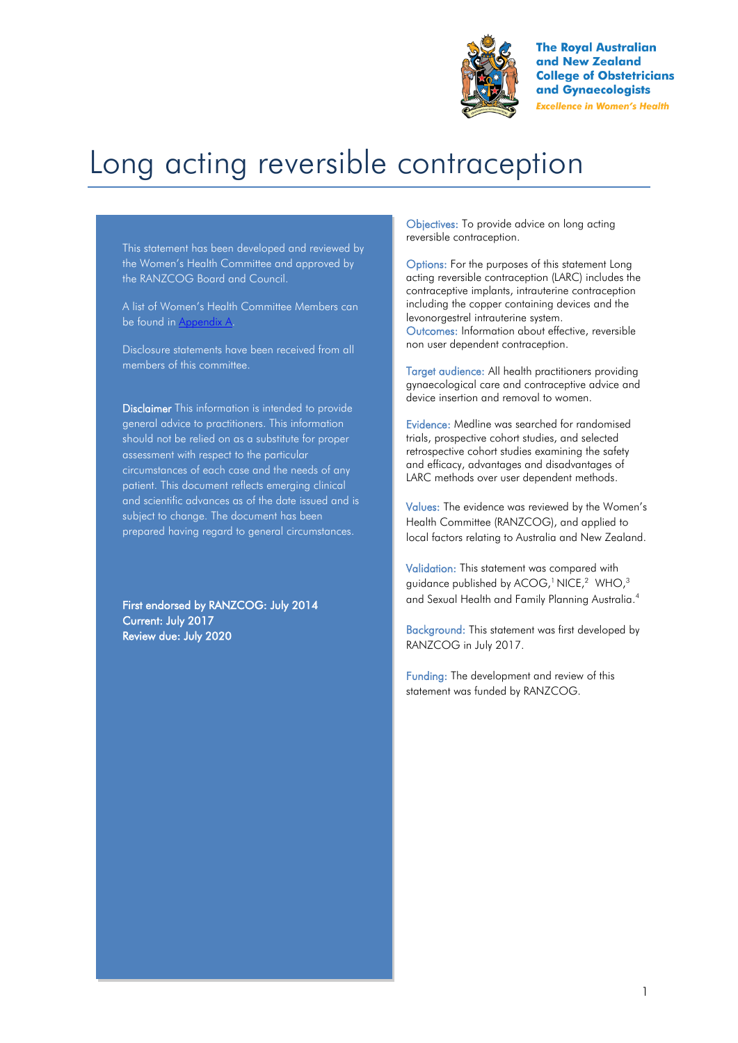

**The Royal Australian** and New Zealand **College of Obstetricians** and Gynaecologists **Excellence in Women's Health** 

# Long acting reversible contraception

This statement has been developed and reviewed by the Women's Health Committee and approved by the RANZCOG Board and Council.

A list of Women's Health Committee Members can be found in Appendix A.

Disclosure statements have been received from all members of this committee.

Disclaimer This information is intended to provide general advice to practitioners. This information should not be relied on as a substitute for proper assessment with respect to the particular circumstances of each case and the needs of any patient. This document reflects emerging clinical and scientific advances as of the date issued and is subject to change. The document has been prepared having regard to general circumstances.

First endorsed by RANZCOG: July 2014 Current: July 2017 Review due: July 2020

Objectives: To provide advice on long acting reversible contraception.

Options: For the purposes of this statement Long acting reversible contraception (LARC) includes the contraceptive implants, intrauterine contraception including the copper containing devices and the levonorgestrel intrauterine system. Outcomes: Information about effective, reversible non user dependent contraception.

Target audience: All health practitioners providing gynaecological care and contraceptive advice and device insertion and removal to women.

Evidence: Medline was searched for randomised trials, prospective cohort studies, and selected retrospective cohort studies examining the safety and efficacy, advantages and disadvantages of LARC methods over user dependent methods.

Values: The evidence was reviewed by the Women's Health Committee (RANZCOG), and applied to local factors relating to Australia and New Zealand.

Validation: This statement was compared with guidance published by ACOG[,](#page-6-2)<sup>1</sup> NIC[E,](#page-6-1)<sup>2</sup> WHO,<sup>3</sup> and Sexual Health and Family Planning Australi[a.](#page-6-3) 4

Background: This statement was first developed by RANZCOG in July 2017.

Funding: The development and review of this statement was funded by RANZCOG.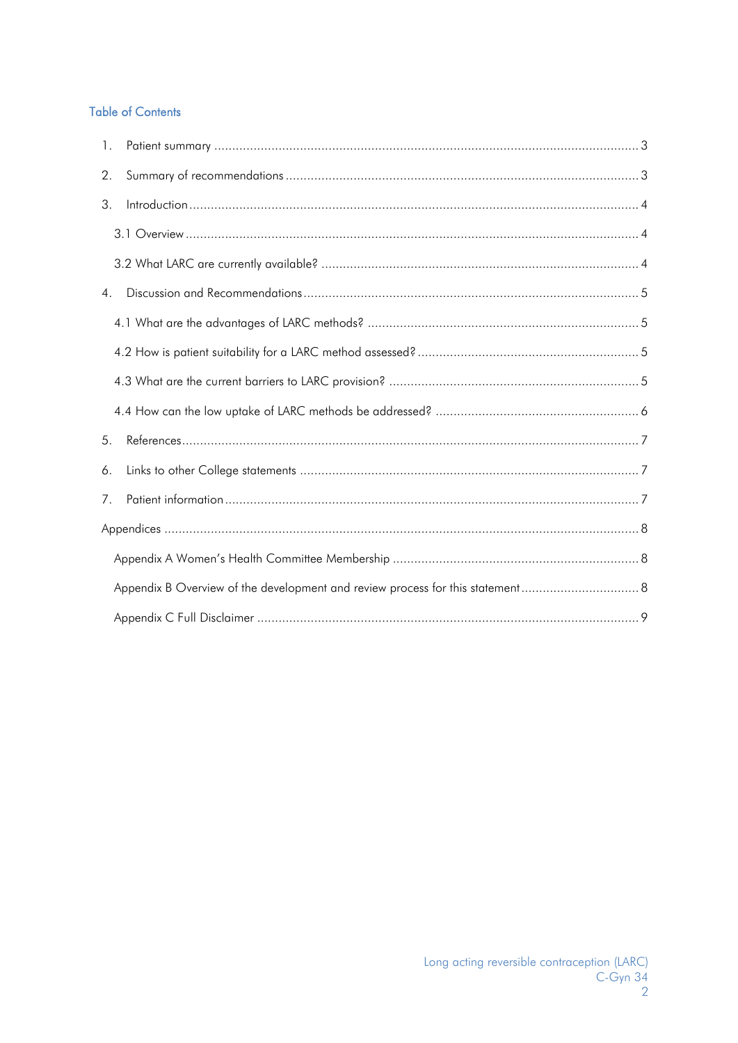### **Table of Contents**

| 1.             |  |
|----------------|--|
| 2.             |  |
| 3.             |  |
|                |  |
|                |  |
| 4.             |  |
|                |  |
|                |  |
|                |  |
|                |  |
| 5 <sub>1</sub> |  |
| 6.             |  |
| 7.             |  |
|                |  |
|                |  |
|                |  |
|                |  |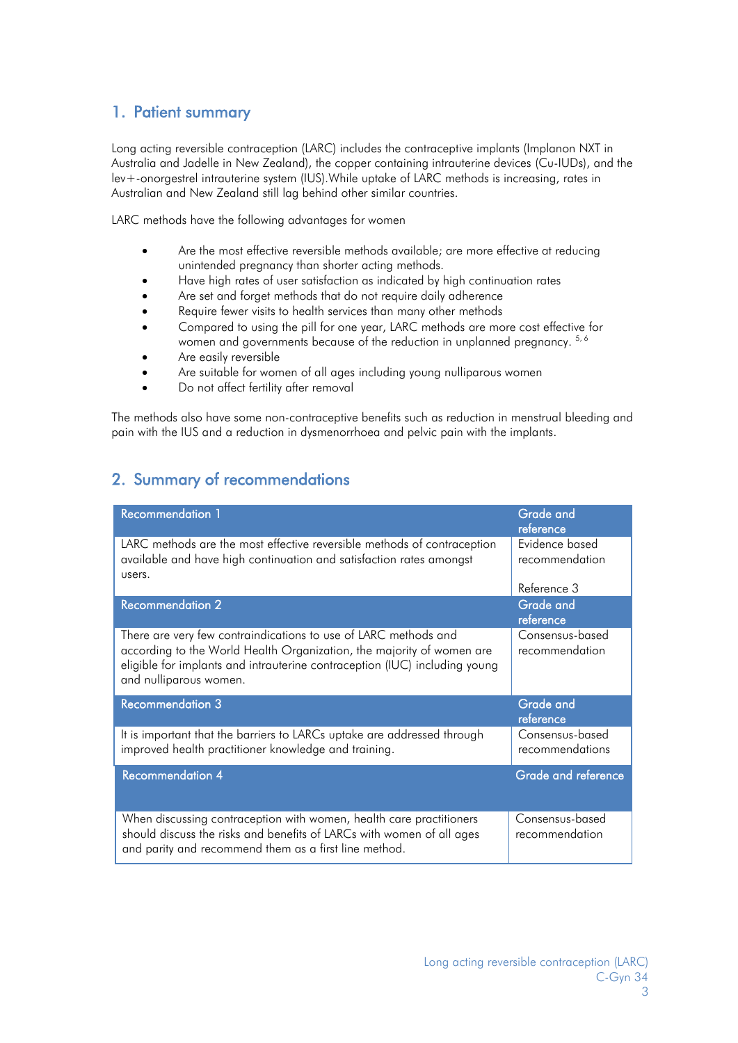## <span id="page-2-0"></span>1. Patient summary

Long acting reversible contraception (LARC) includes the contraceptive implants (Implanon NXT in Australia and Jadelle in New Zealand), the copper containing intrauterine devices (Cu-IUDs), and the lev+-onorgestrel intrauterine system (IUS).While uptake of LARC methods is increasing, rates in Australian and New Zealand still lag behind other similar countries.

LARC methods have the following advantages for women

- Are the most effective reversible methods available; are more effective at reducing unintended pregnancy than shorter acting methods.
- Have high rates of user satisfaction as indicated by high continuation rates
- Are set and forget methods that do not require daily adherence
- Require fewer visits to health services than many other methods
- Compared to using the pill for one year, LARC methods are more cost effective for women and governments because of the reduction in unplanned pregnancy.  $^{5,6}$  $^{5,6}$  $^{5,6}$
- Are easily reversible
- Are suitable for women of all ages including young nulliparous women
- Do not affect fertility after removal

The methods also have some non-contraceptive benefits such as reduction in menstrual bleeding and pain with the IUS and a reduction in dysmenorrhoea and pelvic pain with the implants.

# <span id="page-2-1"></span>2. Summary of recommendations

| <b>Recommendation 1</b>                                                                                                                                                                                                                          | <b>Grade and</b><br>reference      |
|--------------------------------------------------------------------------------------------------------------------------------------------------------------------------------------------------------------------------------------------------|------------------------------------|
| LARC methods are the most effective reversible methods of contraception<br>available and have high continuation and satisfaction rates amongst<br>users.                                                                                         | Evidence based<br>recommendation   |
|                                                                                                                                                                                                                                                  | Reference 3                        |
| <b>Recommendation 2</b>                                                                                                                                                                                                                          | <b>Grade and</b><br>reference      |
| There are very few contraindications to use of LARC methods and<br>according to the World Health Organization, the majority of women are<br>eligible for implants and intrauterine contraception (IUC) including young<br>and nulliparous women. | Consensus-based<br>recommendation  |
| <b>Recommendation 3</b>                                                                                                                                                                                                                          | Grade and<br>reference             |
| It is important that the barriers to LARCs uptake are addressed through<br>improved health practitioner knowledge and training.                                                                                                                  | Consensus-based<br>recommendations |
| <b>Recommendation 4</b>                                                                                                                                                                                                                          | <b>Grade and reference</b>         |
| When discussing contraception with women, health care practitioners<br>should discuss the risks and benefits of LARCs with women of all ages<br>and parity and recommend them as a first line method.                                            | Consensus-based<br>recommendation  |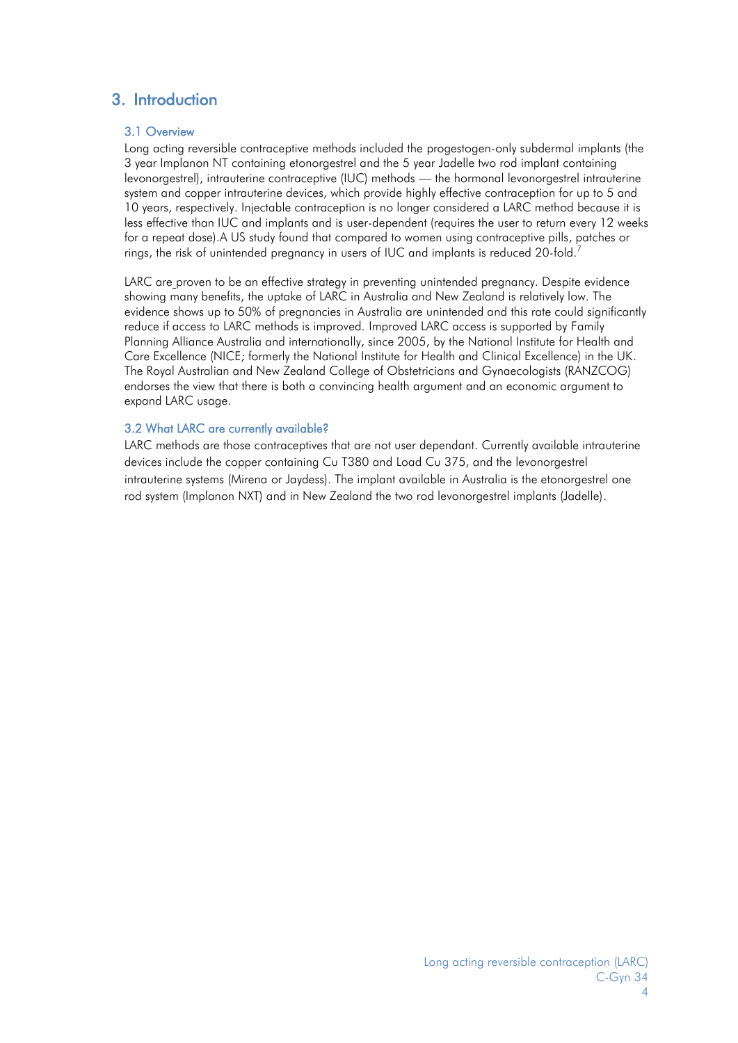# <span id="page-3-1"></span><span id="page-3-0"></span>3. Introduction

#### 3.1 Overview

Long acting reversible contraceptive methods included the progestogen-only subdermal implants (the 3 year Implanon NT containing etonorgestrel and the 5 year Jadelle two rod implant containing levonorgestrel), intrauterine contraceptive (IUC) methods — the hormonal levonorgestrel intrauterine system and copper intrauterine devices, which provide highly effective contraception for up to 5 and 10 years, respectively. Injectable contraception is no longer considered a LARC method because it is less effective than IUC and implants and is user-dependent (requires the user to return every 12 weeks for a repeat dose).A US study found that compared to women using contraceptive pills, patches or rings, the risk of unintended pregnancy in users of IUC and implants is reduced 20-fold[.](#page-6-9)<sup>7</sup>

LARC are proven to be an effective strategy in preventing unintended pregnancy. Despite evidence showing many benefits, the uptake of LARC in Australia and New Zealand is relatively low. The evidence shows up to 50% of pregnancies in Australia are unintended and this rate could significantly reduce if access to LARC methods is improved. Improved LARC access is supported by Family Planning Alliance Australia and internationally, since 2005, by the National Institute for Health and Care Excellence (NICE; formerly the National Institute for Health and Clinical Excellence) in the UK. The Royal Australian and New Zealand College of Obstetricians and Gynaecologists (RANZCOG) endorses the view that there is both a convincing health argument and an economic argument to expand LARC usage.

#### <span id="page-3-2"></span>3.2 What LARC are currently available?

LARC methods are those contraceptives that are not user dependant. Currently available intrauterine devices include the copper containing Cu T380 and Load Cu 375, and the levonorgestrel intrauterine systems (Mirena or Jaydess). The implant available in Australia is the etonorgestrel one rod system (Implanon NXT) and in New Zealand the two rod levonorgestrel implants (Jadelle).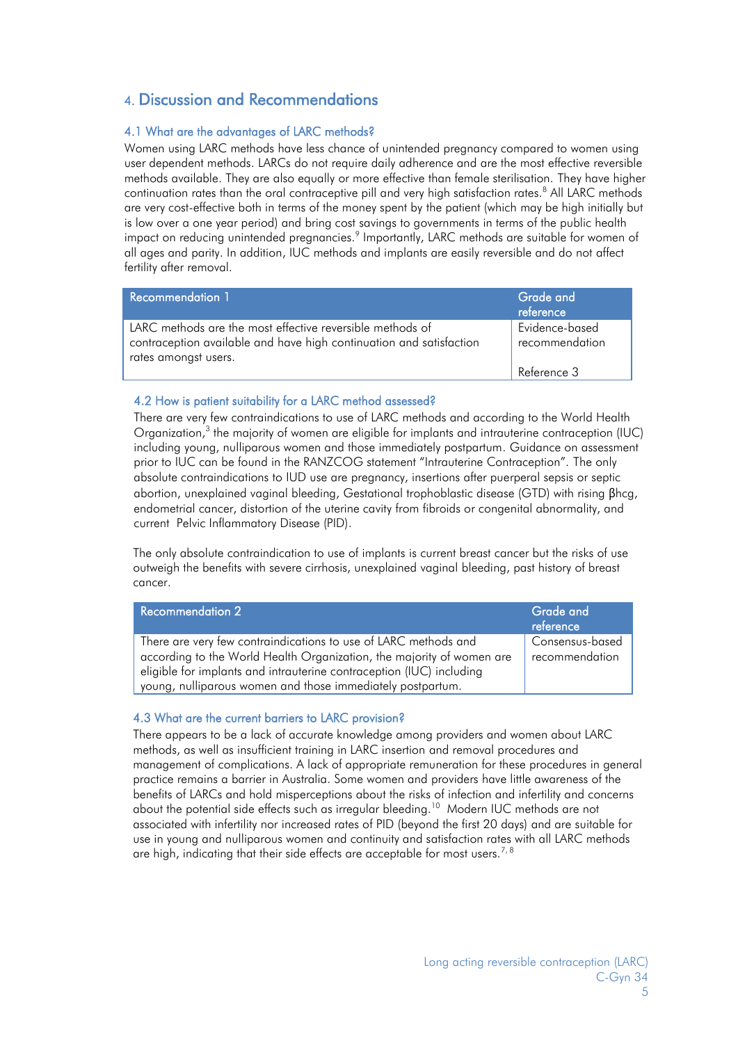## <span id="page-4-0"></span>4. Discussion and Recommendations

#### <span id="page-4-1"></span>4.1 What are the advantages of LARC methods?

Women using LARC methods have less chance of unintended pregnancy compared to women using user dependent methods. LARCs do not require daily adherence and are the most effective reversible methods available. They are also equally or more effective than female sterilisation. They have higher continuation rates than the oral contraceptive pill and very high satisfaction rates.<sup>[8](#page-6-10)</sup> All LARC methods are very cost-effective both in terms of the money spent by the patient (which may be high initially but is low over a one year period) and bring cost savings to governments in terms of the public health impact on reducing unintended pregnancies[.](#page-6-11) $^9$  Importantly, LARC methods are suitable for women of all ages and parity. In addition, IUC methods and implants are easily reversible and do not affect fertility after removal.

| <b>Recommendation 1</b>                                                                                                                                  | Grade and<br>reference           |
|----------------------------------------------------------------------------------------------------------------------------------------------------------|----------------------------------|
| LARC methods are the most effective reversible methods of<br>contraception available and have high continuation and satisfaction<br>rates amongst users. | Evidence-based<br>recommendation |
|                                                                                                                                                          | Reference 3                      |

#### <span id="page-4-2"></span>4.2 How is patient suitability for a LARC method assessed?

There are very few contraindications to use of LARC methods and according to the World Health Organization,<sup>[3](#page-6-2)</sup> the majority of women are eligible for implants and intrauterine contraception (IUC) including young, nulliparous women and those immediately postpartum. Guidance on assessment prior to IUC can be found in the RANZCOG statement "Intrauterine Contraception". The only absolute contraindications to IUD use are pregnancy, insertions after puerperal sepsis or septic abortion, unexplained vaginal bleeding, Gestational trophoblastic disease (GTD) with rising βhcg, endometrial cancer, distortion of the uterine cavity from fibroids or congenital abnormality, and current Pelvic Inflammatory Disease (PID).

The only absolute contraindication to use of implants is current breast cancer but the risks of use outweigh the benefits with severe cirrhosis, unexplained vaginal bleeding, past history of breast cancer.

| <b>Recommendation 2</b>                                                                                                                  | Grade and<br>reference            |
|------------------------------------------------------------------------------------------------------------------------------------------|-----------------------------------|
| There are very few contraindications to use of LARC methods and<br>according to the World Health Organization, the majority of women are | Consensus-based<br>recommendation |
| eligible for implants and intrauterine contraception (IUC) including<br>young, nulliparous women and those immediately postpartum.       |                                   |

#### <span id="page-4-3"></span>4.3 What are the current barriers to LARC provision?

<span id="page-4-4"></span>There appears to be a lack of accurate knowledge among providers and women about LARC methods, as well as insufficient training in LARC insertion and removal procedures and management of complications. A lack of appropriate remuneration for these procedures in general practice remains a barrier in Australia. Some women and providers have little awareness of the benefits of LARCs and hold misperceptions about the risks of infection and infertility and concerns about the potential side effects such as irregular bleeding.<sup>[10](#page-6-12)</sup> Modern IUC methods are not associated with infertility nor increased rates of PID (beyond the first 20 days) and are suitable for use in young and nulliparous women and continuity and satisfaction rates with all LARC methods are high, indicating that their side effects are acceptable for most users.<sup>[7,](#page-6-9) [8](#page-6-10)</sup>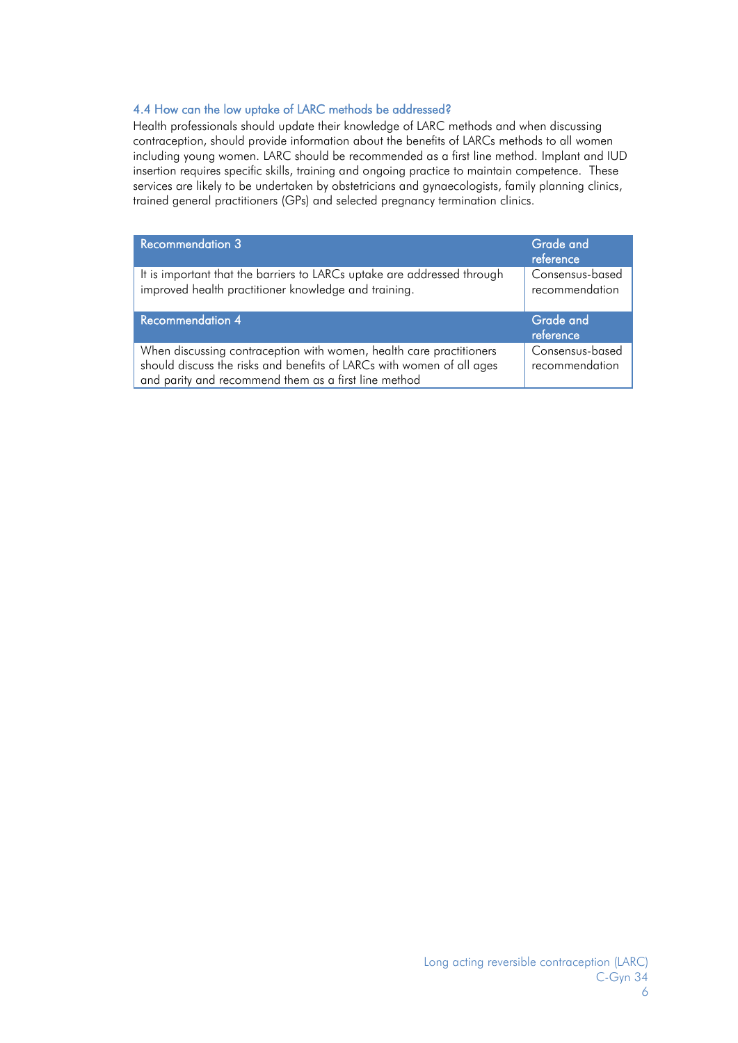#### 4.4 How can the low uptake of LARC methods be addressed?

Health professionals should update their knowledge of LARC methods and when discussing contraception, should provide information about the benefits of LARCs methods to all women including young women. LARC should be recommended as a first line method. Implant and IUD insertion requires specific skills, training and ongoing practice to maintain competence. These services are likely to be undertaken by obstetricians and gynaecologists, family planning clinics, trained general practitioners (GPs) and selected pregnancy termination clinics.

| <b>Recommendation 3</b>                                                                                                         | Grade and<br>reference            |
|---------------------------------------------------------------------------------------------------------------------------------|-----------------------------------|
| It is important that the barriers to LARCs uptake are addressed through<br>improved health practitioner knowledge and training. | Consensus-based<br>recommendation |
|                                                                                                                                 |                                   |
| <b>Recommendation 4</b>                                                                                                         | <b>Grade and</b><br>reference     |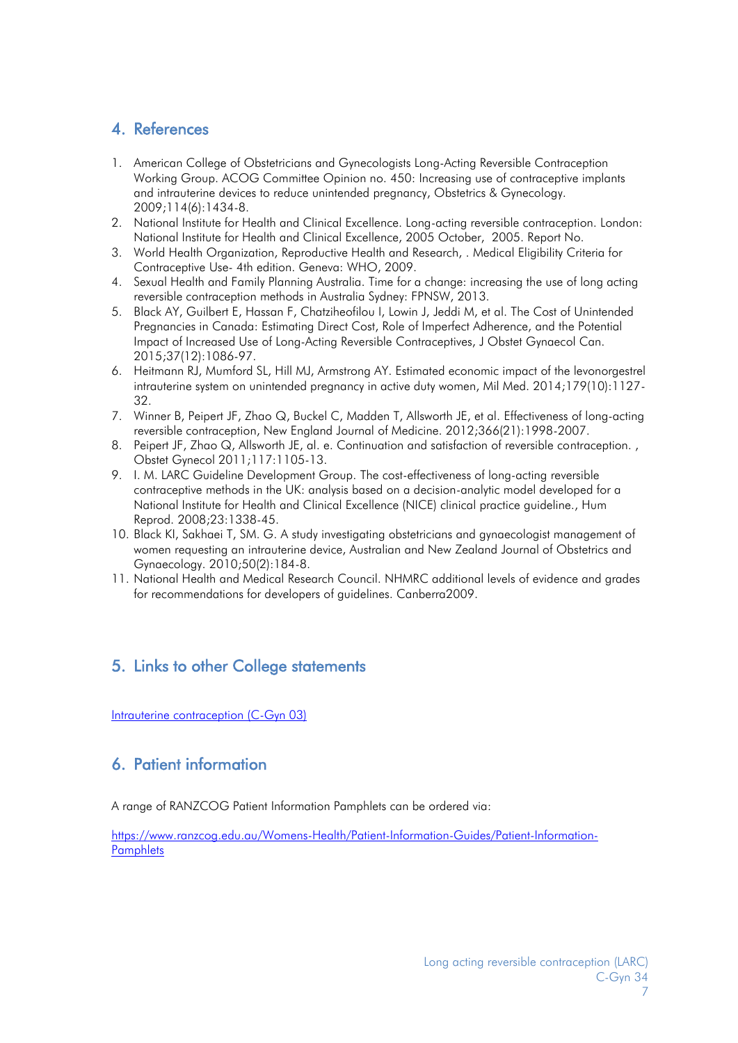# <span id="page-6-4"></span>4. References

- <span id="page-6-0"></span>1. American College of Obstetricians and Gynecologists Long-Acting Reversible Contraception Working Group. ACOG Committee Opinion no. 450: Increasing use of contraceptive implants and intrauterine devices to reduce unintended pregnancy, Obstetrics & Gynecology. 2009;114(6):1434-8.
- <span id="page-6-1"></span>2. National Institute for Health and Clinical Excellence. Long-acting reversible contraception. London: National Institute for Health and Clinical Excellence, 2005 October, 2005. Report No.
- <span id="page-6-2"></span>3. World Health Organization, Reproductive Health and Research, . Medical Eligibility Criteria for Contraceptive Use- 4th edition. Geneva: WHO, 2009.
- <span id="page-6-3"></span>4. Sexual Health and Family Planning Australia. Time for a change: increasing the use of long acting reversible contraception methods in Australia Sydney: FPNSW, 2013.
- <span id="page-6-7"></span>5. Black AY, Guilbert E, Hassan F, Chatziheofilou I, Lowin J, Jeddi M, et al. The Cost of Unintended Pregnancies in Canada: Estimating Direct Cost, Role of Imperfect Adherence, and the Potential Impact of Increased Use of Long-Acting Reversible Contraceptives, J Obstet Gynaecol Can. 2015;37(12):1086-97.
- <span id="page-6-8"></span>6. Heitmann RJ, Mumford SL, Hill MJ, Armstrong AY. Estimated economic impact of the levonorgestrel intrauterine system on unintended pregnancy in active duty women, Mil Med. 2014;179(10):1127- 32.
- <span id="page-6-9"></span>7. Winner B, Peipert JF, Zhao Q, Buckel C, Madden T, Allsworth JE, et al. Effectiveness of long-acting reversible contraception, New England Journal of Medicine. 2012;366(21):1998-2007.
- <span id="page-6-10"></span>8. Peipert JF, Zhao Q, Allsworth JE, al. e. Continuation and satisfaction of reversible contraception. , Obstet Gynecol 2011;117:1105-13.
- <span id="page-6-11"></span>9. I. M. LARC Guideline Development Group. The cost-effectiveness of long-acting reversible contraceptive methods in the UK: analysis based on a decision-analytic model developed for a National Institute for Health and Clinical Excellence (NICE) clinical practice guideline., Hum Reprod. 2008;23:1338-45.
- <span id="page-6-12"></span>10. Black KI, Sakhaei T, SM. G. A study investigating obstetricians and gynaecologist management of women requesting an intrauterine device, Australian and New Zealand Journal of Obstetrics and Gynaecology. 2010;50(2):184-8.
- <span id="page-6-13"></span>11. National Health and Medical Research Council. NHMRC additional levels of evidence and grades for recommendations for developers of guidelines. Canberra2009.

## <span id="page-6-5"></span>5. Links to other College statements

[Intrauterine contraception \(C-Gyn 03\)](https://www.ranzcog.edu.au/RANZCOG_SITE/media/RANZCOG-MEDIA/Women%27s%20Health/Statement%20and%20guidelines/Clinical-Obstetrics/Intrauterine-Contraception-(C-Gyn-3)-Board-Review-May-2016.pdf?ext=.pdf) 

## <span id="page-6-6"></span>6. Patient information

A range of RANZCOG Patient Information Pamphlets can be ordered via:

[https://www.ranzcog.edu.au/Womens-Health/Patient-Information-Guides/Patient-Information-](https://www.ranzcog.edu.au/Womens-Health/Patient-Information-Guides/Patient-Information-Pamphlets)**[Pamphlets](https://www.ranzcog.edu.au/Womens-Health/Patient-Information-Guides/Patient-Information-Pamphlets)**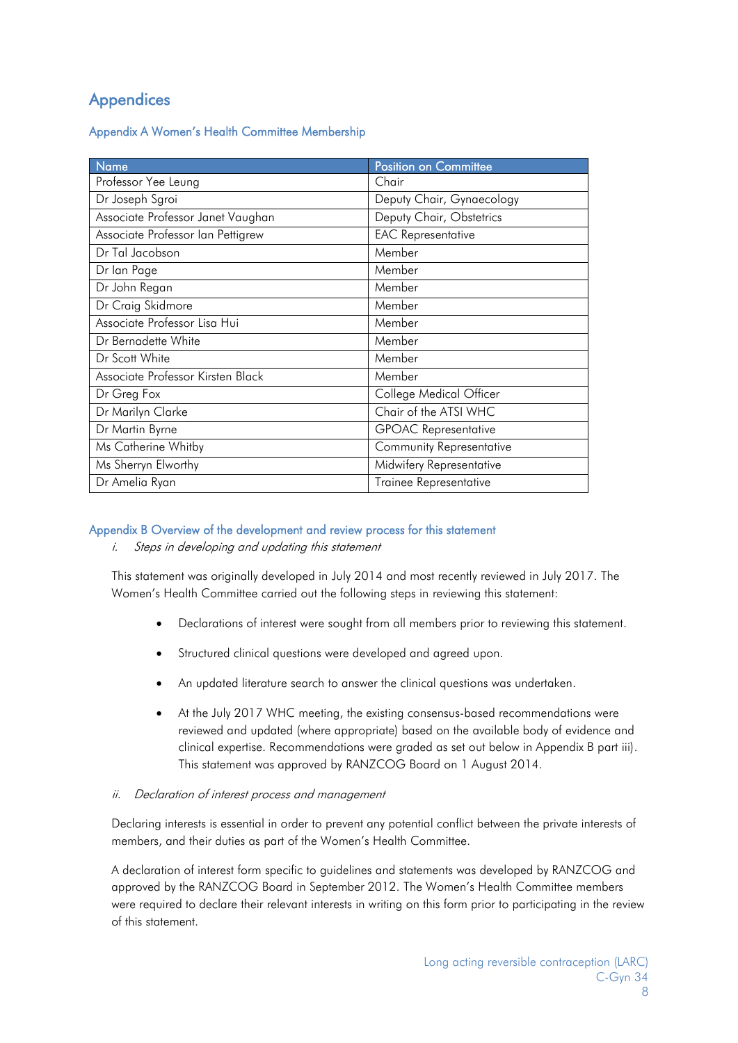# <span id="page-7-0"></span>**Appendices**

<span id="page-7-1"></span>Appendix A Women's Health Committee Membership

| <b>Name</b>                       | <b>Position on Committee</b>    |
|-----------------------------------|---------------------------------|
| Professor Yee Leung               | Chair                           |
| Dr Joseph Sgroi                   | Deputy Chair, Gynaecology       |
| Associate Professor Janet Vaughan | Deputy Chair, Obstetrics        |
| Associate Professor Ian Pettigrew | <b>EAC Representative</b>       |
| Dr Tal Jacobson                   | Member                          |
| Dr lan Page                       | Member                          |
| Dr John Regan                     | Member                          |
| Dr Craig Skidmore                 | Member                          |
| Associate Professor Lisa Hui      | Member                          |
| Dr Bernadette White               | Member                          |
| Dr Scott White                    | Member                          |
| Associate Professor Kirsten Black | Member                          |
| Dr Greg Fox                       | College Medical Officer         |
| Dr Marilyn Clarke                 | Chair of the ATSI WHC           |
| Dr Martin Byrne                   | <b>GPOAC</b> Representative     |
| Ms Catherine Whitby               | <b>Community Representative</b> |
| Ms Sherryn Elworthy               | Midwifery Representative        |
| Dr Amelia Ryan                    | Trainee Representative          |

#### <span id="page-7-2"></span>Appendix B Overview of the development and review process for this statement

i. Steps in developing and updating this statement

This statement was originally developed in July 2014 and most recently reviewed in July 2017. The Women's Health Committee carried out the following steps in reviewing this statement:

- Declarations of interest were sought from all members prior to reviewing this statement.
- Structured clinical questions were developed and agreed upon.
- An updated literature search to answer the clinical questions was undertaken.
- At the July 2017 WHC meeting, the existing consensus-based recommendations were reviewed and updated (where appropriate) based on the available body of evidence and clinical expertise. Recommendations were graded as set out below in Appendix B part iii). This statement was approved by RANZCOG Board on 1 August 2014.

#### ii. Declaration of interest process and management

Declaring interests is essential in order to prevent any potential conflict between the private interests of members, and their duties as part of the Women's Health Committee.

A declaration of interest form specific to guidelines and statements was developed by RANZCOG and approved by the RANZCOG Board in September 2012. The Women's Health Committee members were required to declare their relevant interests in writing on this form prior to participating in the review of this statement.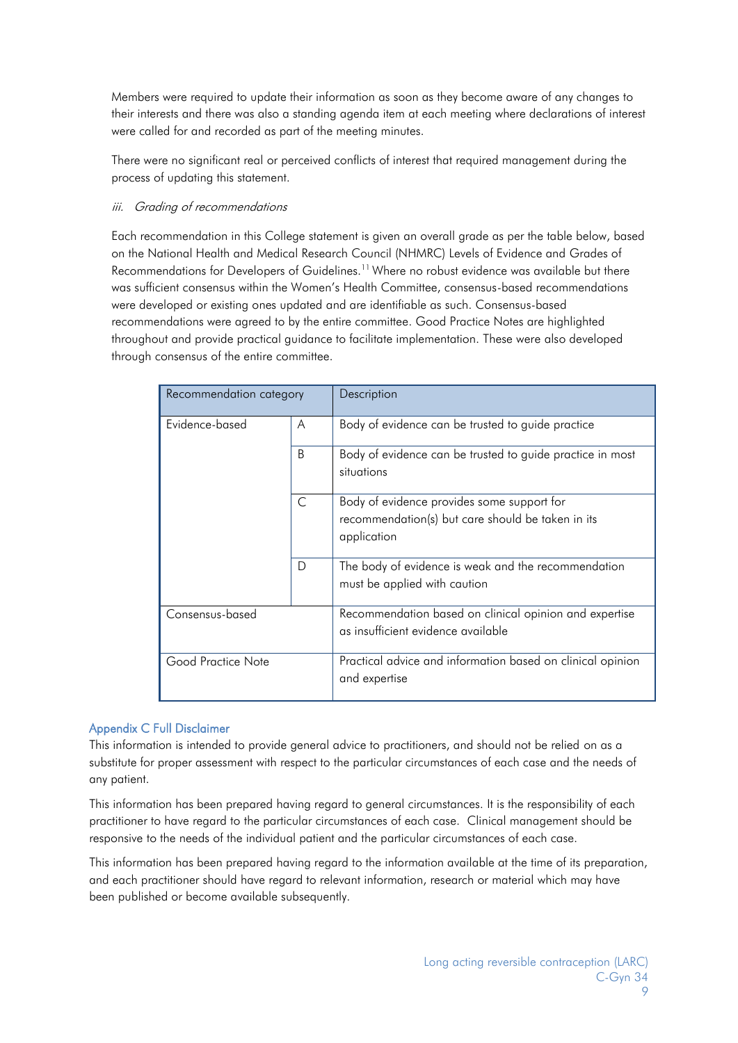Members were required to update their information as soon as they become aware of any changes to their interests and there was also a standing agenda item at each meeting where declarations of interest were called for and recorded as part of the meeting minutes.

There were no significant real or perceived conflicts of interest that required management during the process of updating this statement.

#### iii. Grading of recommendations

Each recommendation in this College statement is given an overall grade as per the table below, based on the National Health and Medical Research Council (NHMRC) Levels of Evidence and Grades of Recommendations for Developers of Guidelines.<sup>[11](#page-6-13)</sup> Where no robust evidence was available but there was sufficient consensus within the Women's Health Committee, consensus-based recommendations were developed or existing ones updated and are identifiable as such. Consensus-based recommendations were agreed to by the entire committee. Good Practice Notes are highlighted throughout and provide practical guidance to facilitate implementation. These were also developed through consensus of the entire committee.

| Recommendation category |              | Description                                                                                                    |
|-------------------------|--------------|----------------------------------------------------------------------------------------------------------------|
| Evidence-based          | A            | Body of evidence can be trusted to guide practice                                                              |
|                         | <sub>B</sub> | Body of evidence can be trusted to guide practice in most<br>situations                                        |
|                         | C            | Body of evidence provides some support for<br>recommendation(s) but care should be taken in its<br>application |
|                         | D            | The body of evidence is weak and the recommendation<br>must be applied with caution                            |
| Consensus-based         |              | Recommendation based on clinical opinion and expertise<br>as insufficient evidence available                   |
| Good Practice Note      |              | Practical advice and information based on clinical opinion<br>and expertise                                    |

#### <span id="page-8-0"></span>Appendix C Full Disclaimer

This information is intended to provide general advice to practitioners, and should not be relied on as a substitute for proper assessment with respect to the particular circumstances of each case and the needs of any patient.

This information has been prepared having regard to general circumstances. It is the responsibility of each practitioner to have regard to the particular circumstances of each case. Clinical management should be responsive to the needs of the individual patient and the particular circumstances of each case.

This information has been prepared having regard to the information available at the time of its preparation, and each practitioner should have regard to relevant information, research or material which may have been published or become available subsequently.